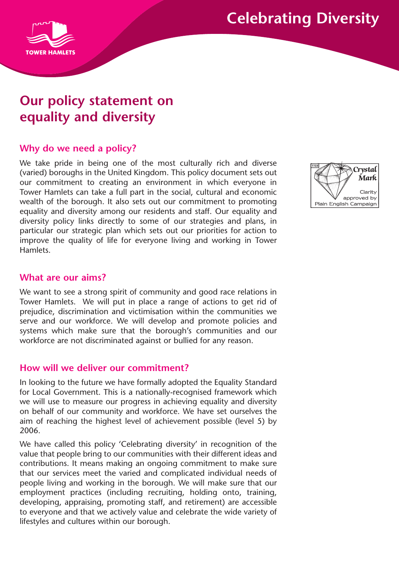# **Celebrating Diversity**



# **Our policy statement on equality and diversity**

# **Why do we need a policy?**

We take pride in being one of the most culturally rich and diverse (varied) boroughs in the United Kingdom. This policy document sets out our commitment to creating an environment in which everyone in Tower Hamlets can take a full part in the social, cultural and economic wealth of the borough. It also sets out our commitment to promoting equality and diversity among our residents and staff. Our equality and diversity policy links directly to some of our strategies and plans, in particular our strategic plan which sets out our priorities for action to improve the quality of life for everyone living and working in Tower Hamlets.



### **What are our aims?**

We want to see a strong spirit of community and good race relations in Tower Hamlets. We will put in place a range of actions to get rid of prejudice, discrimination and victimisation within the communities we serve and our workforce. We will develop and promote policies and systems which make sure that the borough's communities and our workforce are not discriminated against or bullied for any reason.

#### **How will we deliver our commitment?**

In looking to the future we have formally adopted the Equality Standard for Local Government. This is a nationally-recognised framework which we will use to measure our progress in achieving equality and diversity on behalf of our community and workforce. We have set ourselves the aim of reaching the highest level of achievement possible (level 5) by 2006.

We have called this policy 'Celebrating diversity' in recognition of the value that people bring to our communities with their different ideas and contributions. It means making an ongoing commitment to make sure that our services meet the varied and complicated individual needs of people living and working in the borough. We will make sure that our employment practices (including recruiting, holding onto, training, developing, appraising, promoting staff, and retirement) are accessible to everyone and that we actively value and celebrate the wide variety of lifestyles and cultures within our borough.